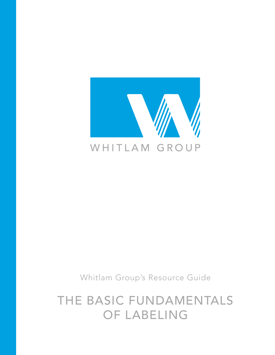

Whitlam Group's Resource Guide

THE BASIC FUNDAMENTALS OF LABELING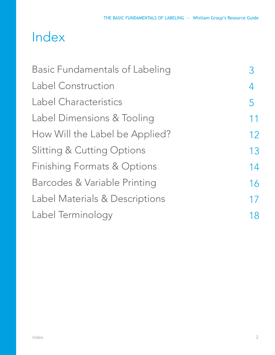# Index

| <b>Basic Fundamentals of Labeling</b> |    |
|---------------------------------------|----|
| <b>Label Construction</b>             | 4  |
| Label Characteristics                 | 5  |
| Label Dimensions & Tooling            | 11 |
| How Will the Label be Applied?        | 12 |
| <b>Slitting &amp; Cutting Options</b> | 13 |
| Finishing Formats & Options           | 14 |
| Barcodes & Variable Printing          | 16 |
| Label Materials & Descriptions        | 17 |
| Label Terminology                     | 18 |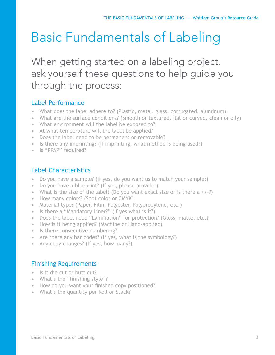# Basic Fundamentals of Labeling

When getting started on a labeling project, ask yourself these questions to help guide you through the process:

# Label Performance

- What does the label adhere to? (Plastic, metal, glass, corrugated, aluminum)
- What are the surface conditions? (Smooth or textured, flat or curved, clean or oily)
- What environment will the label be exposed to?
- At what temperature will the label be applied?
- Does the label need to be permanent or removable?
- Is there any imprinting? (If imprinting, what method is being used?)
- Is "PPAP" required?

# Label Characteristics

- Do you have a sample? (If yes, do you want us to match your sample?)
- Do you have a blueprint? (If yes, please provide.)
- What is the size of the label? (Do you want exact size or is there  $a + (-?)$
- How many colors? (Spot color or CMYK)
- Material type? (Paper, Film, Polyester, Polypropylene, etc.)
- Is there a "Mandatory Liner?" (If yes what is it?)
- Does the label need "Lamination" for protection? (Gloss, matte, etc.)
- How is it being applied? (Machine or Hand-applied)
- Is there consecutive numbering?
- Are there any bar codes? (If yes, what is the symbology?)
- Any copy changes? (If yes, how many?)

### Finishing Requirements

- Is it die cut or butt cut?
- What's the "finishing style"?
- How do you want your finished copy positioned?
- What's the quantity per Roll or Stack?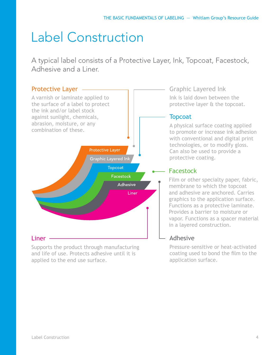# Label Construction

A typical label consists of a Protective Layer, Ink, Topcoat, Facestock, Adhesive and a Liner.



Supports the product through manufacturing and life of use. Protects adhesive until it is applied to the end use surface.

Graphic Layered Ink Ink is laid down between the protective layer & the topcoat.

### **Topcoat**

A physical surface coating applied to promote or increase ink adhesion with conventional and digital print technologies, or to modify gloss. Can also be used to provide a protective coating.

### Facestock

Film or other specialty paper, fabric, membrane to which the topcoat and adhesive are anchored. Carries graphics to the application surface. Functions as a protective laminate. Provides a barrier to moisture or vapor. Functions as a spacer material in a layered construction.

# Adhesive

Pressure–sensitive or heat-activated coating used to bond the film to the application surface.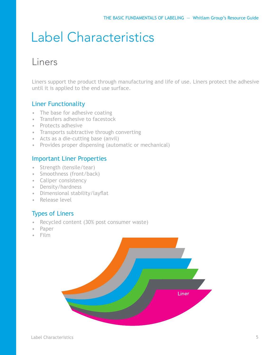# Label Characteristics

# Liners

Liners support the product through manufacturing and life of use. Liners protect the adhesive until it is applied to the end use surface.

# Liner Functionality

- The base for adhesive coating
- Transfers adhesive to facestock
- Protects adhesive
- Transports subtractive through converting
- Acts as a die-cutting base (anvil)
- Provides proper dispensing (automatic or mechanical)

### Important Liner Properties

- Strength (tensile/tear)
- Smoothness (front/back)
- Caliper consistency
- Density/hardness
- Dimensional stability/layflat
- Release level

### Types of Liners

- Recycled content (30% post consumer waste)
- Paper
- Film

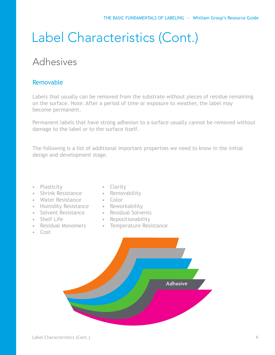# Adhesives

### Removable

Labels that usually can be removed from the substrate without pieces of residue remaining on the surface. Note: After a period of time or exposure to weather, the label may become permanent.

Permanent labels that have strong adhesion to a surface usually cannot be removed without damage to the label or to the surface itself.

The following is a list of additional important properties we need to know in the initial design and development stage.

- Plasticity
- Shrink Resistance
- Water Resistance
- Humidity Resistance
- Solvent Resistance
- Shelf Life
- Residual Monomers
- Cost
- Clarity
- Removability
- Color
- Reworkability
- Residual Solvents
	- Repositionability
	- Temperature Resistance

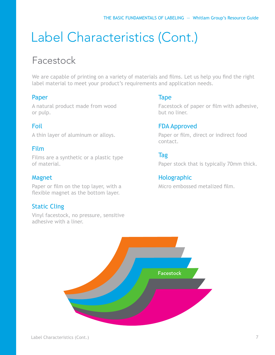# Facestock

We are capable of printing on a variety of materials and films. Let us help you find the right label material to meet your product's requirements and application needs.

### Paper

A natural product made from wood or pulp.

# Foil

A thin layer of aluminum or alloys.

### Film

Films are a synthetic or a plastic type of material.

### Magnet

Paper or film on the top layer, with a flexible magnet as the bottom layer.

# Static Cling

Vinyl facestock, no pressure, sensitive adhesive with a liner.

### Tape

Facestock of paper or film with adhesive, but no liner.

### FDA Approved

Paper or film, direct or indirect food contact.

**Tag** 

Paper stock that is typically 70mm thick.

# **Holographic**

Micro embossed metalized film.

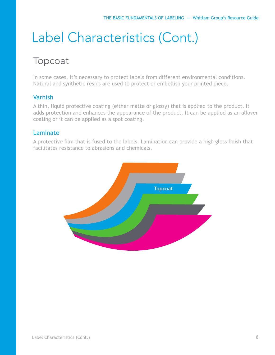# Topcoat

In some cases, it's necessary to protect labels from different environmental conditions. Natural and synthetic resins are used to protect or embellish your printed piece.

# Varnish

A thin, liquid protective coating (either matte or glossy) that is applied to the product. It adds protection and enhances the appearance of the product. It can be applied as an allover coating or it can be applied as a spot coating.

### Laminate

A protective film that is fused to the labels. Lamination can provide a high gloss finish that facilitates resistance to abrasions and chemicals.

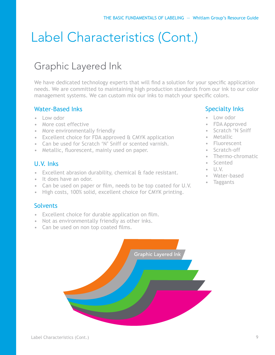# Graphic Layered Ink

We have dedicated technology experts that will find a solution for your specific application needs. We are committed to maintaining high production standards from our ink to our color management systems. We can custom mix our inks to match your specific colors.

# Water-Based Inks

- Low odor
- More cost effective
- More environmentally friendly
- Excellent choice for FDA approved & CMYK application
- Can be used for Scratch 'N' Sniff or scented varnish.
- Metallic, fluorescent, mainly used on paper.

### U.V. Inks

- Excellent abrasion durability, chemical & fade resistant.
- It does have an odor.
- Can be used on paper or film, needs to be top coated for U.V.
- High costs, 100% solid, excellent choice for CMYK printing.

### **Solvents**

- Excellent choice for durable application on film.
- Not as environmentally friendly as other inks.
- Can be used on non top coated films.



### Specialty Inks

- Low odor
- FDA Approved
- Scratch 'N Sniff
- Metallic
- Fluorescent
- Scratch-off
- Thermo-chromatic
- **Scented**
- U.V.
- Water-based
- **Taggants**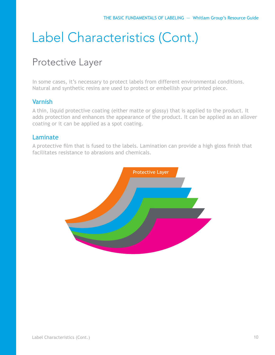# Protective Layer

In some cases, it's necessary to protect labels from different environmental conditions. Natural and synthetic resins are used to protect or embellish your printed piece.

# Varnish

A thin, liquid protective coating (either matte or glossy) that is applied to the product. It adds protection and enhances the appearance of the product. It can be applied as an allover coating or it can be applied as a spot coating.

### Laminate

A protective film that is fused to the labels. Lamination can provide a high gloss finish that facilitates resistance to abrasions and chemicals.

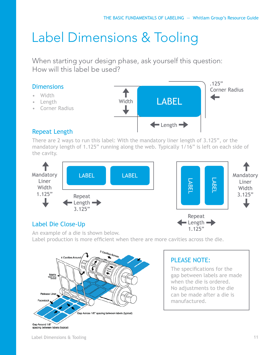# Label Dimensions & Tooling

When starting your design phase, ask yourself this question: How will this label be used?

# **Dimensions**

- Width
- Length
- Corner Radius



# Repeat Length

There are 2 ways to run this label: With the mandatory liner length of 3.125", or the mandatory length of 1.125" running along the web. Typically 1/16" is left on each side of the cavity.





# Label Die Close-Up

An example of a die is shown below. Label production is more efficient when there are more cavities across the die.



# PLEASE NOTE:

The specifications for the gap between labels are made when the die is ordered. No adjustments to the die can be made after a die is manufactured.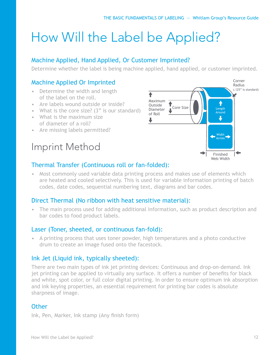# How Will the Label be Applied?

# Machine Applied, Hand Applied, Or Customer Imprinted?

Determine whether the label is being machine applied, hand applied, or customer imprinted.

# Machine Applied Or Imprinted

- Determine the width and length of the label on the roll.
- Are labels wound outside or inside?
- What is the core size? (3" is our standard)
- What is the maximum size of diameter of a roll?
- Are missing labels permitted?

# Imprint Method



### Thermal Transfer (Continuous roll or fan-folded):

• Most commonly used variable data printing process and makes use of elements which are heated and cooled selectively. This is used for variable information printing of batch codes, date codes, sequential numbering text, diagrams and bar codes.

### Direct Thermal (No ribbon with heat sensitive material):

• The main process used for adding additional information, such as product description and bar codes to food product labels.

### Laser (Toner, sheeted, or continuous fan-fold):

• A printing process that uses toner powder, high temperatures and a photo conductive drum to create an image fused onto the facestock.

### Ink Jet (Liquid ink, typically sheeted):

There are two main types of ink jet printing devices: Continuous and drop-on-demand. Ink jet printing can be applied to virtually any surface. It offers a number of benefits for black and white, spot color, or full color digital printing. In order to ensure optimum ink absorption and ink keying properties, an essential requirement for printing bar codes is absolute sharpness of image.

### **Other**

Ink, Pen, Marker, Ink stamp (Any finish form)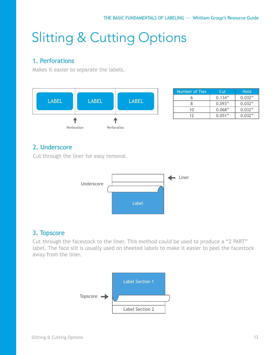# Slitting & Cutting Options

# 1. Perforations

Makes it easier to separate the labels.



| Number of Ties | Cut    | <b>Hold</b> |
|----------------|--------|-------------|
|                | 0.134" | 0.032"      |
|                | 0.093" | 0.032"      |
| 10             | 0.068" | 0.032"      |
| 17             | 0.051" | 0.032"      |

# 2. Underscore

Cut through the liner for easy removal.



# 3. Topscore

Cut through the facestock to the liner. This method could be used to produce a "2 PART" label. The face slit is usually used on sheeted labels to make it easier to peel the facestock away from the liner.

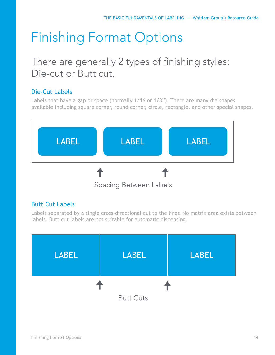# Finishing Format Options

# There are generally 2 types of finishing styles: Die-cut or Butt cut.

# Die-Cut Labels

Labels that have a gap or space (normally 1/16 or 1/8"). There are many die shapes available including square corner, round corner, circle, rectangle, and other special shapes.



# Butt Cut Labels

Labels separated by a single cross-directional cut to the liner. No matrix area exists between labels. Butt cut labels are not suitable for automatic dispensing.

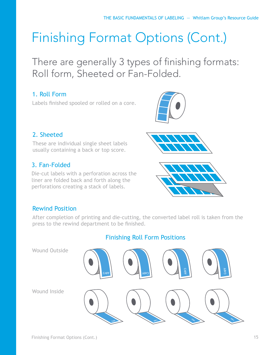# Finishing Format Options (Cont.)

There are generally 3 types of finishing formats: Roll form, Sheeted or Fan-Folded.

# 1. Roll Form

Labels finished spooled or rolled on a core.



# 2. Sheeted

These are individual single sheet labels usually containing a back or top score.

# 3. Fan-Folded

Die-cut labels with a perforation across the liner are folded back and forth along the perforations creating a stack of labels.





# Rewind Position

After completion of printing and die-cutting, the converted label roll is taken from the press to the rewind department to be finished.

# Finishing Roll Form Positions

Wound Outside Wound Inside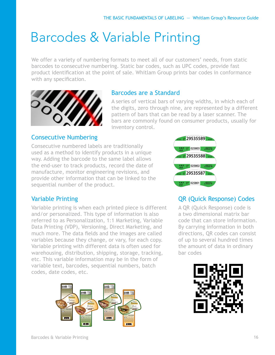# Barcodes & Variable Printing

We offer a variety of numbering formats to meet all of our customers' needs, from static barcodes to consecutive numbering. Static bar codes, such as UPC codes, provide fast product identification at the point of sale. Whitlam Group prints bar codes in conformance with any specification.



### Barcodes are a Standard

A series of vertical bars of varying widths, in which each of the digits, zero through nine, are represented by a different pattern of bars that can be read by a laser scanner. The bars are commonly found on consumer products, usually for inventory control.

### Consecutive Numbering

Consecutive numbered labels are traditionally used as a method to identify products in a unique way. Adding the barcode to the same label allows the end-user to track products, record the date of manufacture, monitor engineering revisions, and provide other information that can be linked to the sequential number of the product.



# QR (Quick Response) Codes

A QR (Quick Response) code is a two dimensional matrix bar code that can store information. By carrying information in both directions, QR codes can consist of up to several hundred times the amount of data in ordinary bar codes



# Variable Printing

Variable printing is when each printed piece is different and/or personalized. This type of information is also referred to as Personalization, 1:1 Marketing, Variable Data Printing (VDP), Versioning, Direct Marketing, and much more. The data fields and the images are called variables because they change, or vary, for each copy. Variable printing with different data is often used for warehousing, distribution, shipping, storage, tracking, etc. This variable information may be in the form of variable text, barcodes, sequential numbers, batch codes, date codes, etc.

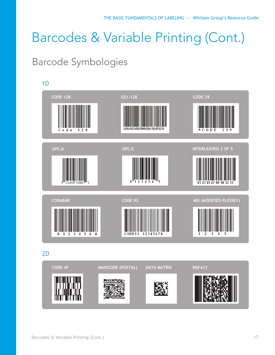# Barcodes & Variable Printing (Cont.)

# Barcode Symbologies

# 1D **CODE 128 GS1-128 CODE 39** \* C O D E 3 9 \* **UPC-A UPC-E INTERLEAVED 2 OF 5** 23 45 67 89 10 12 13 **CODABAR CODE 93 MSI (MODIFIED PLESSEY)** CODE93 12345678

2D

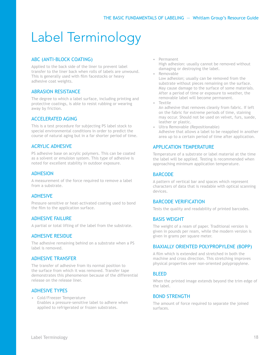# Label Terminology

#### ABC (ANTI-BLOCK COATING)

Applied to the back side of the liner to prevent label transfer to the liner back when rolls of labels are unwound. This is generally used with film facestocks or heavy adhesive coat weights.

#### ABRASION RESISTANCE

The degree to which a label surface, including printing and protective coatings, is able to resist rubbing or wearing away by friction.

#### ACCELERATED AGING

This is a test procedure for subjecting PS label stock to special environmental conditions in order to predict the course of natural aging but in a far shorter period of time.

#### ACRYLIC ADHESIVE

PS adhesive base on acrylic polymers. This can be coated as a solvent or emulsion system. This type of adhesive is noted for excellent stability in outdoor exposure.

#### **ADHESION**

A measurement of the force required to remove a label from a substrate.

#### **ADHESIVE**

Pressure–sensitive or heat-activated coating used to bond the film to the application surface.

#### ADHESIVE FAILURE

A partial or total lifting of the label from the substrate.

#### ADHESIVE RESIDUE

The adhesive remaining behind on a substrate when a PS label is removed.

#### ADHESIVE TRANSFER

The transfer of adhesive from its normal position to the surface from which it was removed. Transfer tape demonstrates this phenomenon because of the differential release on the release liner.

#### ADHESIVE TYPES

• Cold/Freezer Temperature Enables a pressure-sensitive label to adhere when applied to refrigerated or frozen substrates.

• Permanent

High adhesion: usually cannot be removed without damaging or destroying the label.

• Removable

Low adhesion; usually can be removed from the substrate without pieces remaining on the surface. May cause damage to the surface of some materials. After a period of time or exposure to weather, the removable label will become permanent.

**Textile** An adhesive that removes cleanly from fabric. If left on the fabric for extreme periods of time, staining may occur. Should not be used on velvet, furs, suede, leather or plastic.

• Ultra Removable (Repositionable) Adhesive that allows a label to be reapplied in another area up to a certain period of time after application.

#### APPLICATION TEMPERATURE

Temperature of a substrate or label material at the time the label will be applied. Testing is recommended when approaching minimum application temperature.

#### **BARCODE**

A pattern of vertical bar and spaces which represent characters of data that is readable with optical scanning devices.

#### BARCODE VERIFICATION

Tests the quality and readability of printed barcodes.

#### BASIS WEIGHT

The weight of a ream of paper. Traditional version is given in pounds per ream, while the modern version is given in grams per square meter.

#### BIAXIALLY ORIENTED POLYPROPYLENE (BOPP)

A film which is extended and stretched in both the machine and cross direction. This stretching improves physical properties over non-oriented polypropylene.

#### **BLEED**

When the printed image extends beyond the trim edge of the label.

#### BOND STRENGTH

The amount of force required to separate the joined surfaces.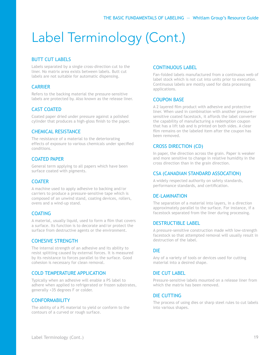#### BUTT CUT LABELS

Labels separated by a single cross-direction cut to the liner. No matrix area exists between labels. Butt cut labels are not suitable for automatic dispensing.

#### **CARRIER**

Refers to the backing material the pressure-sensitive labels are protected by. Also known as the release liner.

#### CAST COATED

Coated paper dried under pressure against a polished cylinder that produces a high-gloss finish to the paper.

#### CHEMICAL RESISTANCE

The resistance of a material to the deteriorating effects of exposure to various chemicals under specified conditions.

#### COATED PAPER

General term applying to all papers which have been surface coated with pigments.

#### **COATER**

A machine used to apply adhesive to backing and/or carriers to produce a pressure-sensitive tape which is composed of an unwind stand, coating devices, rollers, ovens and a wind-up stand.

#### COATING

A material, usually liquid, used to form a film that covers a surface. Its function is to decorate and/or protect the surface from destructive agents or the environment.

#### COHESIVE STRENGTH

The internal strength of an adhesive and its ability to resist splitting caused by external forces. It is measured by its resistance to forces parallel to the surface. Good cohesion is necessary for clean removal.

#### COLD TEMPERATURE APPLICATION

Typically when an adhesive will enable a PS label to adhere when applied to refrigerated or frozen substrates, generally +35 degrees F or colder.

#### **CONFORMABILITY**

The ability of a PS material to yield or conform to the contours of a curved or rough surface.

#### CONTINUOUS LABEL

Fan-folded labels manufactured from a continuous web of label stock which is not cut into units prior to execution. Continuous labels are mostly used for data processing applications.

#### COUPON BASE

A 2 layered film product with adhesive and protective liner. When used in combination with another pressuresensitive coated facestock, it affords the label converter the capability of manufacturing a redemption coupon that has a lift tab and is printed on both sides. A clear film remains on the labeled item after the coupon has been removed.

#### CROSS DIRECTION (CD)

In paper, the direction across the grain. Paper is weaker and more sensitive to change in relative humidity in the cross direction than in the grain direction.

#### CSA (CANADIAN STANDARD ASSOCATION)

A widely respected authority on safety standards, performance standards, and certification.

#### DE-LAMINATION

The separation of a material into layers, in a direction approximately parallel to the surface. For instance, if a facestock separated from the liner during processing.

#### DESTRUCTIBLE LABEL

A pressure-sensitive construction made with low-strength facestock so that attempted removal will usually result in destruction of the label.

#### DIE

Any of a variety of tools or devices used for cutting material into a desired shape.

#### DIE CUT LABEL

Pressure-sensitive labels mounted on a release liner from which the matrix has been removed.

#### DIE CUTTING

The process of using dies or sharp steel rules to cut labels into various shapes.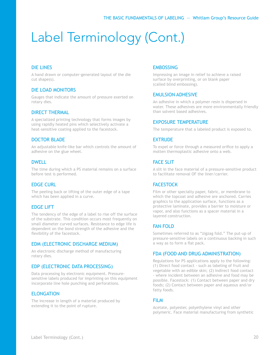#### DIE LINES

A hand drawn or computer-generated layout of the die cut shape(s).

#### DIE LOAD MONITORS

Gauges that indicate the amount of pressure exerted on rotary dies.

#### DIRECT THERMAL

A specialized printing technology that forms images by using rapidly heated pins which selectively activate a heat-sensitive coating applied to the facestock.

#### DOCTOR BLADE

An adjustable knife-like bar which controls the amount of adhesive on the glue wheel.

#### DWELL

The time during which a PS material remains on a surface before test is performed.

#### EDGE CURL

The peeling back or lifting of the outer edge of a tape which has been applied in a curve.

#### EDGE LIFT

The tendency of the edge of a label to rise off the surface of the substrate. This condition occurs most frequently on small diameter curved surfaces. Resistance to edge life is dependent on the bond strength of the adhesive and the flexibility of the facestock.

#### EDM (ELECTRONIC DISCHARGE MEDIUM)

An electronic discharge method of manufacturing rotary dies.

#### EDP (ELECTRONIC DATA PROCESSING)

Data processing by electronic equipment. Pressuresensitive labels produced for imprinting on this equipment incorporate line hole punching and perforations.

#### **ELONGATION**

The increase in length of a material produced by extending it to the point of rupture.

#### **EMBOSSING**

Impressing an image in relief to achieve a raised surface by overprinting, or on blank paper (called blind embossing).

#### EMULSION ADHESIVE

An adhesive in which a polymer resin is dispersed in water. These adhesives are more environmentally friendly than solvent based adhesives.

#### EXPOSURE TEMPERATURE

The temperature that a labeled product is exposed to.

#### EXTRUDE

To expel or force through a measured orifice to apply a molten thermoplastic adhesive onto a web.

#### **FACE SLIT**

A slit in the face material of a pressure-sensitive product to facilitate removal OF the liner/carrier.

#### **FACESTOCK**

Film or other specialty paper, fabric, or membrane to which the topcoat and adhesive are anchored. Carries graphics to the application surface, functions as a protective laminate, provides a barrier to moisture or vapor, and also functions as a spacer material in a layered construction.

#### FAN FOLD

Sometimes referred to as "zigzag fold." The put-up of pressure-sensitive labels on a continuous backing in such a way as to form a flat pack.

#### FDA (FOOD AND DRUG ADMINISTRATION)

Regulations for PS applications apply to the following: (1) Direct food contact - such as labeling of fruit and vegetable with an edible skin; (2) Indirect food contact - where incident between an adhesive and food may be possible. Facestock: (1) Contact between paper and dry foods; (2) Contact between paper and aqueous and/or fatty foods.

#### FILM

Acetate, polyester, polyethylene vinyl and other polymeric. Face material manufacturing from synthetic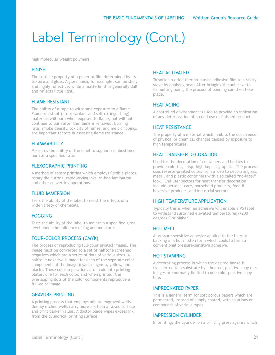high molecular weight polymers.

#### FINISH

The surface property of a paper or film determined by its texture and gloss. A gloss finish, for example, can be shiny and highly reflective, while a matte finish is generally dull and reflects little light.

#### FLAME RESISTANT

The ability of a tape to withstand exposure to a flame. Flame resistant (fire-retardant and self-extinguishing) materials will burn when exposed to flame, but will not continue to burn after the flame is removed. Burning rate, smoke density, toxicity of fumes, and melt drippings are important factors in assessing flame resistance.

#### **FI AMMABILITY**

Measures the ability of the label to support combustion or burn at a specified rate.

#### FLEXOGRAPHIC PRINTING

A method of rotary printing which employs flexible plates, rotary die cutting, rapid-drying inks, in-line lamination, and other converting operations.

#### **FLUID IMMERSION**

Tests the ability of the label to resist the effects of a wide variety of chemicals.

#### FOGGING

Tests the ability of the label to maintain a specified gloss level under the influence of fog and moisture.

#### FOUR-COLOR PROCESS (CMYK)

The process of reproducing full-color printed images. The image must be converted to a set of halftone screened negatives which are a series of dots of various sizes. A halftone negative is made for each of the separate color components of the image (cyan, magenta, yellow, and black). These color separations are made into printing plates, one for each color, and when printed, the overlapping dots of the color components reproduce a full-color image.

#### GRAVURE PRINTING

A printing process that employs minute engraved wells. Deeply etched wells carry more ink than a raised surface and print darker values. A doctor blade wipes excess ink from the cylindrical printing surface.

#### HEAT ACTIVATED

To soften a dried thermo-plastic adhesive film to a sticky stage by applying heat. After bringing the adhesive to its melting point, the process of bonding can then take place.

#### HEAT AGING

A controlled environment is used to provide an indication of any deterioration of an end use or finished product.

#### HEAT RESISTANCE

The property of a material which inhibits the occurrence of physical or chemical changes caused by exposure to high temperatures.

#### HEAT TRANSFER DECORATION

Used for the decoration of containers and bottles to provide colorful, crisp, high impact graphics. The process uses reverse-printed colors from a web to decorate glass, metal, and plastic containers with a so called "no-label" look. End user sectors for heat transfer decoration include personal care, household products, food & beverage products, and industrial sectors.

#### HIGH TEMPERATURE APPLICATION

Typically this is when an adhesive will enable a PS label to withstand sustained elevated temperatures (+200 degrees F or higher).

#### HOT MELT

A pressure-sensitive adhesive applied to the liner or backing in a hot molten form which cools to form a conventional pressure-sensitive adhesive.

#### HOT STAMPING

A decorating process in which the desired image is transferred to a substrate by a heated, positive copy die. Images are normally limited to one color positive copy line.

#### IMPREGNATED PAPER

This is a general term for soft porous papers which are permeated, instead of simply coated, with solutions or compounds of various types.

#### IMPRESSION CYLINDER

In printing, the cylinder on a printing press against which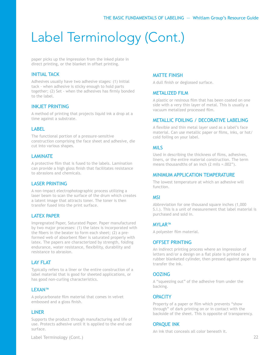paper picks up the impression from the inked plate in direct printing, or the blanket in offset printing.

#### INITIAL TACK

Adhesives usually have two adhesive stages: (1) Initial tack - when adhesive is sticky enough to hold parts together; (2) Set - when the adhesives has firmly bonded to the label.

#### INKJET PRINTING

A method of printing that projects liquid ink a drop at a time against a substrate.

#### LABEL

The functional portion of a pressure-sensitive construction comprising the face sheet and adhesive, die cut into various shapes.

#### LAMINATE

A protective film that is fused to the labels. Lamination can provide a high gloss finish that facilitates resistance to abrasions and chemicals.

#### LASER PRINTING

A non-impact electrophotographic process utilizing a laser beam to scan the surface of the drum which creates a latent image that attracts toner. The toner is then transfer fused into the print surface.

#### LATEX PAPER

Impregnated Paper, Saturated Paper. Paper manufactured by two major processes: (1) the latex is incorporated with the fibers in the beater to form each sheet; (2) a preformed web of absorbent fiber is saturated properly with latex. The papers are characterized by strength, folding endurance, water resistance, flexibility, durability and resistance to abrasion.

#### LAY FLAT

Typically refers to a liner or the entire construction of a label material that is good for sheeted applications, or has good non-curling characteristics.

#### LEXAN™

A polycarbonate film material that comes in velvet embossed and a gloss finish.

#### LINER

Supports the product through manufacturing and life of use. Protects adhesive until it is applied to the end use surface.

#### Label Terminology (Cont.) 22

#### MATTE FINISH

A dull finish or deglossed surface.

#### METALIZED FILM

A plastic or resinous film that has been coated on one side with a very thin layer of metal. This is usually a vacuum metalized processed film.

#### METALLIC FOILING / DECORATIVE LABELING

A flexible and thin metal layer used as a label's face material. Can use metallic paper or films, inks, or hot/ cold foiling on your label.

#### MILS

Used in describing the thickness of films, adhesives, liners, or the entire material construction. The term means thousandths of an inch (2 mils =.002").

#### MINIMUM APPLICATION TEMPERATURE

The lowest temperature at which an adhesive will function.

#### MSI

Abbreviation for one thousand square inches (1,000 S.I.). This is a unit of measurement that label material is purchased and sold in.

#### MYLAR™

A polyester film material.

#### OFFSET PRINTING

An indirect printing process where an impression of letters and/or a design on a flat plate is printed on a rubber blanketed cylinder, then pressed against paper to transfer the ink.

#### **OOZING**

A "squeezing out" of the adhesive from under the backing.

#### **OPACITY**

Property of a paper or film which prevents "show through" of dark printing on or in contact with the backside of the sheet. This is opposite of transparency.

#### OPAQUE INK

An ink that conceals all color beneath it.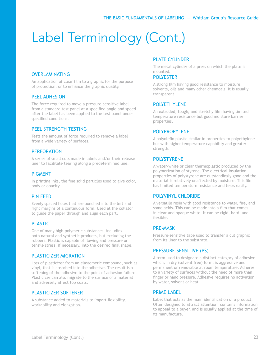#### OVERLAMINATING

An application of clear film to a graphic for the purpose of protection, or to enhance the graphic quality.

#### PEEL ADHESION

The force required to move a pressure-sensitive label from a standard test panel at a specified angle and speed after the label has been applied to the test panel under specified conditions.

#### PEEL STRENGTH TESTING

Tests the amount of force required to remove a label from a wide variety of surfaces.

#### **PERFORATION**

A series of small cuts made in labels and/or their release liner to facilitate tearing along a predetermined line.

#### PIGMENT

In printing inks, the fine solid particles used to give color, body or opacity.

#### PIN FEED

Evenly spaced holes that are punched into the left and right margins of a continuous form. Used at the collator to guide the paper through and align each part.

#### PLASTIC

One of many high-polymeric substances, including both natural and synthetic products, but excluding the rubbers. Plastic is capable of flowing and pressure or tensile stress, if necessary, into the desired final shape.

#### PLASTICIZER MIGRATION

Loss of plasticizer from an elastomeric compound, such as vinyl, that is absorbed into the adhesive. The result is a softening of the adhesive to the point of adhesion failure. Plasticizer can also migrate to the surface of a material and adversely affect top coats.

#### PLASTICIZER SOFTENER

A substance added to materials to impart flexibility, workability and elongation.

#### PLATE CYLINDER

The metal cylinder of a press on which the plate is mounted.

#### POLYESTER

A strong film having good resistance to moisture, solvents, oils and many other chemicals. It is usually transparent.

#### POLYETHYLENE

An extruded, tough, and stretchy film having limited temperature resistance but good moisture barrier properties.

#### POLYPROPYLENE

A polyolefin plastic similar in properties to polyethylene but with higher temperature capability and greater strength.

#### POLYSTYRENE

A water-white or clear thermoplastic produced by the polymerization of styrene. The electrical insulation properties of polystyrene are outstandingly good and the material is relatively unaffected by moisture. This film has limited temperature resistance and tears easily.

#### POLYVINYL CHLORIDE

A versatile resin with good resistance to water, fire, and some acids. This can be made into a film that comes in clear and opaque white. It can be rigid, hard, and flexible.

#### PRE-MASK

Pressure-sensitive tape used to transfer a cut graphic from its liner to the substrate.

#### PRESSURE-SENSITIVE (PS)

A term used to designate a distinct category of adhesive which, in dry (solvent free) form, is aggressive and permanent or removable at room temperature. Adheres to a variety of surfaces without the need of more than finger or hand pressure. Adhesive requires no activation by water, solvent or heat.

#### PRIME LABEL

Label that acts as the main identification of a product. Often designed to attract attention, contains information to appeal to a buyer, and is usually applied at the time of its manufacture.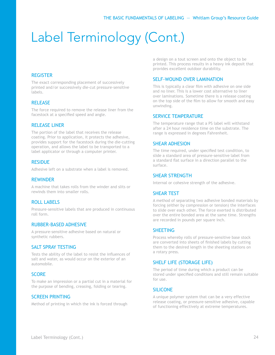#### **REGISTER**

The exact corresponding placement of successively printed and/or successively die-cut pressure-sensitive labels.

#### RELEASE

The force required to remove the release liner from the facestock at a specified speed and angle.

#### RELEASE LINER

The portion of the label that receives the release coating. Prior to application, it protects the adhesive, provides support for the facestock during the die-cutting operation, and allows the label to be transported to a label applicator or through a computer printer.

#### **RESIDUE**

Adhesive left on a substrate when a label is removed.

#### REWINDER

A machine that takes rolls from the winder and slits or rewinds them into smaller rolls.

#### ROLL LABELS

Pressure-sensitive labels that are produced in continuous roll form.

#### RUBBER-BASED ADHESIVE

A pressure-sensitive adhesive based on natural or synthetic rubbers.

#### SALT SPRAY TESTING

Tests the ability of the label to resist the influences of salt and water, as would occur on the exterior of an automobile.

#### **SCORF**

To make an impression or a partial cut in a material for the purpose of bending, creasing, folding or tearing.

#### SCREEN PRINTING

Method of printing in which the ink is forced through

a design on a tout screen and onto the object to be printed. This process results in a heavy ink deposit that provides excellent outdoor durability.

#### SELF-WOUND OVER LAMINATION

This is typically a clear film with adhesive on one side and no liner. This is a lower cost alternative to liner over laminations. Sometime there is a release coating on the top side of the film to allow for smooth and easy unwinding.

#### SERVICE TEMPERATURE

The temperature range that a PS label will withstand after a 24 hour residence time on the substrate. The range is expressed in degrees Fahrenheit.

#### SHEAR ADHESION

The time required, under specified test condition, to slide a standard area of pressure-sensitive label from a standard flat surface in a direction parallel to the surface.

#### SHEAR STRENGTH

Internal or cohesive strength of the adhesive.

#### SHEAR TEST

A method of separating two adhesive bonded materials by forcing (either by compression or tension) the interfaces to slide over each other. The force exerted is distributed over the entire bonded area at the same time. Strengths are recorded in pounds per square inch.

#### **SHEETING**

Process whereby rolls of pressure-sensitive base stock are converted into sheets of finished labels by cutting them to the desired length in the sheeting stations on a rotary press.

#### SHELF LIFE (STORAGE LIFE)

The period of time during which a product can be stored under specified conditions and still remain suitable for use.

#### SILICONE

A unique polymer system that can be a very effective release coating, or pressure-sensitive adhesive, capable of functioning effectively at extreme temperatures.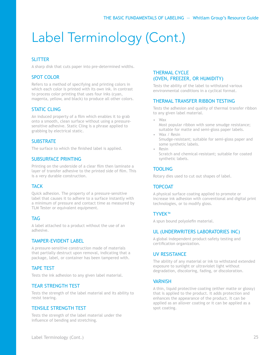#### **SLITTER**

A sharp disk that cuts paper into pre-determined widths.

#### SPOT COLOR

Refers to a method of specifying and printing colors in which each color is printed with its own ink. In contrast to process color printing that uses four inks (cyan, magenta, yellow, and black) to produce all other colors.

#### STATIC CLING

An induced property of a film which enables it to grab onto a smooth, clean surface without using a pressuresensitive adhesive. Static Cling is a phrase applied to grabbing by electrical static.

#### **SUBSTRATE**

The surface to which the finished label is applied.

#### SUBSURFACE PRINTING

Printing on the underside of a clear film then laminate a layer of transfer adhesive to the printed side of film. This is a very durable construction.

#### **TACK**

Quick adhesion. The property of a pressure-sensitive label that causes it to adhere to a surface instantly with a minimum of pressure and contact time as measured by TLM Tester or equivalent equipment.

#### TAG

A label attached to a product without the use of an adhesive.

#### TAMPER-EVIDENT LABEL

A pressure-sensitive construction made of materials that partially destruct upon removal, indicating that a package, label, or container has been tampered with.

#### TAPE TEST

Tests the ink adhesion to any given label material.

#### TEAR STRENGTH TEST

Tests the strength of the label material and its ability to resist tearing.

#### TENSILE STRENGTH TEST

Tests the strength of the label material under the influence of bending and stretching.

#### THERMAL CYCLE (OVEN, FREEZER, OR HUMIDITY)

Tests the ability of the label to withstand various environmental conditions in a cyclical format.

#### THERMAL TRANSFER RIBBON TESTING

Tests the adhesion and quality of thermal transfer ribbon to any given label material.

- Wax
	- Most popular ribbon with some smudge resistance; suitable for matte and semi-gloss paper labels.
- Wax / Resin Smudge-resistant; suitable for semi-gloss paper and some synthetic labels.
- Resin Scratch and chemical-resistant; suitable for coated synthetic labels.

#### TOOLING

Rotary dies used to cut out shapes of label.

#### TOPCOAT

A physical surface coating applied to promote or increase ink adhesion with conventional and digital print technologies, or to modify gloss.

#### TYVEK™

A spun bound polyolefin material.

#### UL (UNDERWRITERS LABORATORIES INC)

A global independent product-safety testing and certification organization.

#### UV RESISTANCE

The ability of any material or ink to withstand extended exposure to sunlight or ultraviolet light without degradation, discoloring, fading, or discoloration.

#### **VARNISH**

A thin, liquid protective coating (either matte or glossy) that is applied to the product. It adds protection and enhances the appearance of the product. It can be applied as an allover coating or it can be applied as a spot coating.